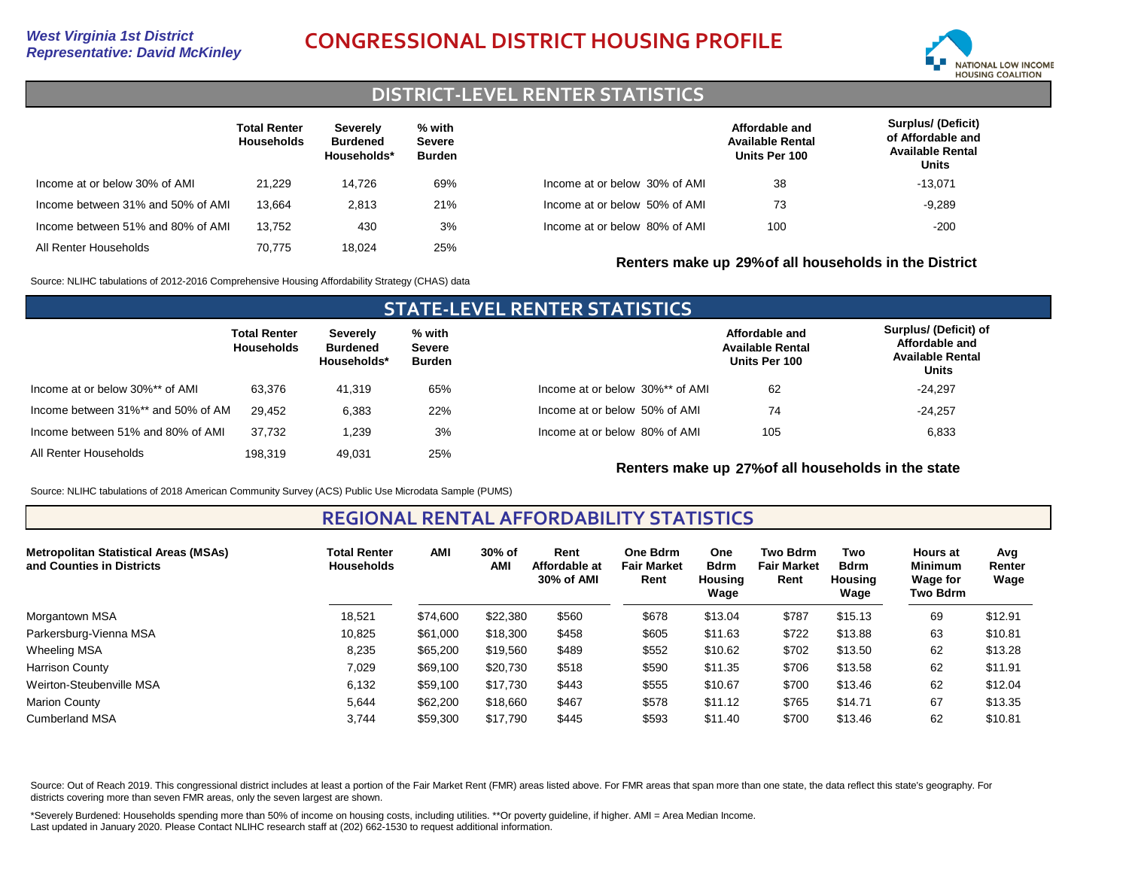# *Representative: David McKinley* **CONGRESSIONAL DISTRICT HOUSING PROFILE**



#### **DISTRICT-LEVEL RENTER STATISTICS**

|                                   | <b>Total Renter</b><br><b>Households</b> | Severely<br><b>Burdened</b><br>Households* | % with<br><b>Severe</b><br><b>Burden</b> |                               | Affordable and<br><b>Available Rental</b><br>Units Per 100 | <b>Surplus/ (Deficit)</b><br>of Affordable and<br><b>Available Rental</b><br>Units |
|-----------------------------------|------------------------------------------|--------------------------------------------|------------------------------------------|-------------------------------|------------------------------------------------------------|------------------------------------------------------------------------------------|
| Income at or below 30% of AMI     | 21.229                                   | 14.726                                     | 69%                                      | Income at or below 30% of AMI | 38                                                         | $-13,071$                                                                          |
| Income between 31% and 50% of AMI | 13.664                                   | 2,813                                      | 21%                                      | Income at or below 50% of AMI | 73                                                         | $-9,289$                                                                           |
| Income between 51% and 80% of AMI | 13.752                                   | 430                                        | 3%                                       | Income at or below 80% of AMI | 100                                                        | $-200$                                                                             |
| All Renter Households             | 70.775                                   | 18.024                                     | 25%                                      |                               | Renters make up 29% of all households in the District      |                                                                                    |

Source: NLIHC tabulations of 2012-2016 Comprehensive Housing Affordability Strategy (CHAS) data

| <b>STATE-LEVEL RENTER STATISTICS</b> |                                   |                                            |                                   |                                 |                                                            |                                                                                    |  |  |  |  |  |
|--------------------------------------|-----------------------------------|--------------------------------------------|-----------------------------------|---------------------------------|------------------------------------------------------------|------------------------------------------------------------------------------------|--|--|--|--|--|
|                                      | <b>Total Renter</b><br>Households | Severely<br><b>Burdened</b><br>Households* | % with<br><b>Severe</b><br>Burden |                                 | Affordable and<br><b>Available Rental</b><br>Units Per 100 | Surplus/ (Deficit) of<br>Affordable and<br><b>Available Rental</b><br><b>Units</b> |  |  |  |  |  |
| Income at or below 30%** of AMI      | 63.376                            | 41.319                                     | 65%                               | Income at or below 30%** of AMI | 62                                                         | $-24.297$                                                                          |  |  |  |  |  |
| Income between 31%** and 50% of AM   | 29.452                            | 6.383                                      | 22%                               | Income at or below 50% of AMI   | 74                                                         | $-24.257$                                                                          |  |  |  |  |  |
| Income between 51% and 80% of AMI    | 37.732                            | 1.239                                      | 3%                                | Income at or below 80% of AMI   | 105                                                        | 6,833                                                                              |  |  |  |  |  |
| All Renter Households                | 198.319                           | 49.031                                     | 25%                               |                                 |                                                            |                                                                                    |  |  |  |  |  |

**Renters make up 27%of all households in the state**

Source: NLIHC tabulations of 2018 American Community Survey (ACS) Public Use Microdata Sample (PUMS)

**REGIONAL RENTAL AFFORDABILITY STATISTICS**

| <b>Metropolitan Statistical Areas (MSAs)</b><br>and Counties in Districts | <b>Total Renter</b><br><b>Households</b> | <b>AMI</b> | 30% of<br>AM | Rent<br>Affordable at<br>30% of AMI | One Bdrm<br><b>Fair Market</b><br>Rent | <b>One</b><br><b>Bdrm</b><br><b>Housing</b><br>Wage | <b>Two Bdrm</b><br><b>Fair Market</b><br>Rent | Two<br><b>Bdrm</b><br><b>Housing</b><br>Wage | <b>Hours at</b><br><b>Minimum</b><br>Wage for<br>Two Bdrm | Avg<br>Renter<br>Wage |
|---------------------------------------------------------------------------|------------------------------------------|------------|--------------|-------------------------------------|----------------------------------------|-----------------------------------------------------|-----------------------------------------------|----------------------------------------------|-----------------------------------------------------------|-----------------------|
| Morgantown MSA                                                            | 18,521                                   | \$74,600   | \$22,380     | \$560                               | \$678                                  | \$13.04                                             | \$787                                         | \$15.13                                      | 69                                                        | \$12.91               |
| Parkersburg-Vienna MSA                                                    | 10,825                                   | \$61,000   | \$18,300     | \$458                               | \$605                                  | \$11.63                                             | \$722                                         | \$13.88                                      | 63                                                        | \$10.81               |
| <b>Wheeling MSA</b>                                                       | 8,235                                    | \$65,200   | \$19,560     | \$489                               | \$552                                  | \$10.62                                             | \$702                                         | \$13.50                                      | 62                                                        | \$13.28               |
| <b>Harrison County</b>                                                    | 7,029                                    | \$69,100   | \$20,730     | \$518                               | \$590                                  | \$11.35                                             | \$706                                         | \$13.58                                      | 62                                                        | \$11.91               |
| Weirton-Steubenville MSA                                                  | 6,132                                    | \$59,100   | \$17,730     | \$443                               | \$555                                  | \$10.67                                             | \$700                                         | \$13.46                                      | 62                                                        | \$12.04               |
| <b>Marion County</b>                                                      | 5,644                                    | \$62,200   | \$18,660     | \$467                               | \$578                                  | \$11.12                                             | \$765                                         | \$14.71                                      | 67                                                        | \$13.35               |
| <b>Cumberland MSA</b>                                                     | 3,744                                    | \$59,300   | \$17,790     | \$445                               | \$593                                  | \$11.40                                             | \$700                                         | \$13.46                                      | 62                                                        | \$10.81               |

Source: Out of Reach 2019. This congressional district includes at least a portion of the Fair Market Rent (FMR) areas listed above. For FMR areas that span more than one state, the data reflect this state's geography. For districts covering more than seven FMR areas, only the seven largest are shown.

\*Severely Burdened: Households spending more than 50% of income on housing costs, including utilities. \*\*Or poverty guideline, if higher. AMI = Area Median Income. Last updated in January 2020. Please Contact NLIHC research staff at (202) 662-1530 to request additional information.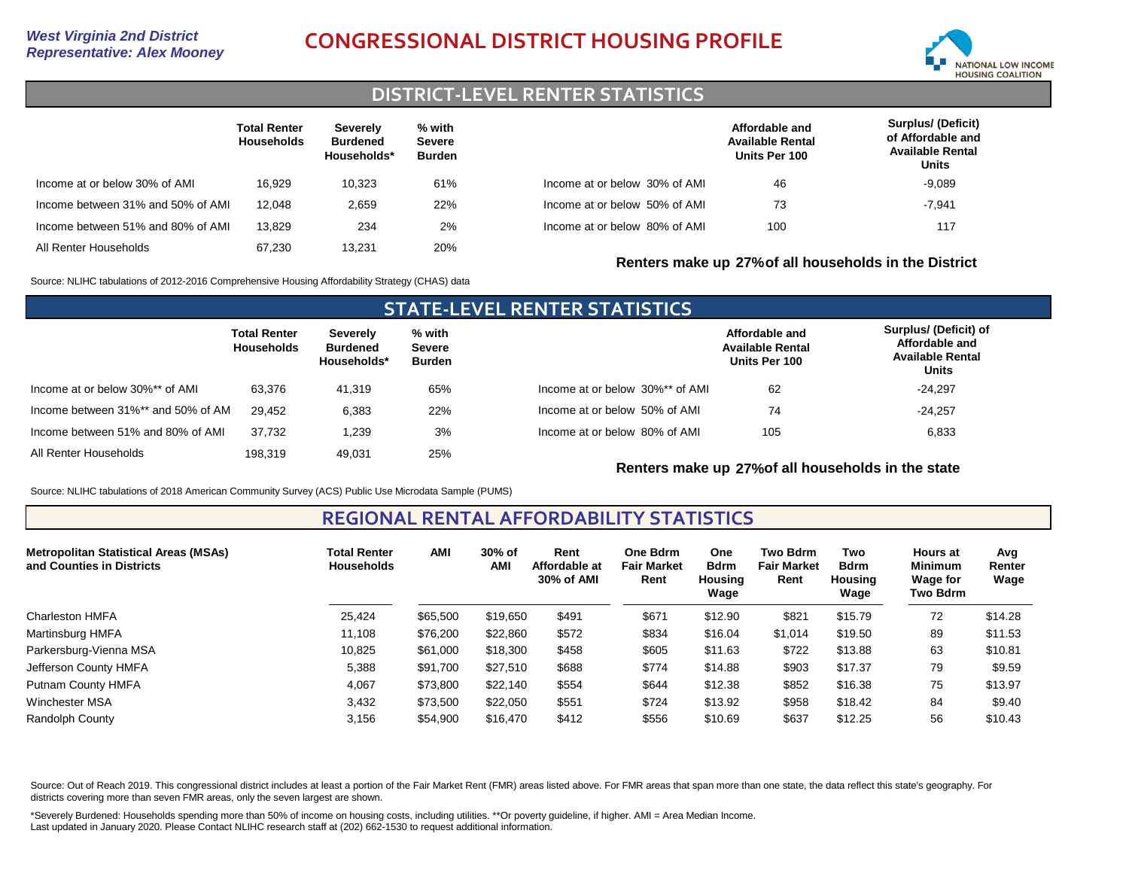# *Representative: Alex Mooney* **CONGRESSIONAL DISTRICT HOUSING PROFILE**



### **DISTRICT-LEVEL RENTER STATISTICS**

|                                   | <b>Total Renter</b><br><b>Households</b> | <b>Severely</b><br><b>Burdened</b><br>Households* | % with<br>Severe<br><b>Burden</b> |                               | Affordable and<br><b>Available Rental</b><br>Units Per 100 | <b>Surplus/ (Deficit)</b><br>of Affordable and<br><b>Available Rental</b><br>Units |
|-----------------------------------|------------------------------------------|---------------------------------------------------|-----------------------------------|-------------------------------|------------------------------------------------------------|------------------------------------------------------------------------------------|
| Income at or below 30% of AMI     | 16.929                                   | 10.323                                            | 61%                               | Income at or below 30% of AMI | 46                                                         | $-9,089$                                                                           |
| Income between 31% and 50% of AMI | 12.048                                   | 2.659                                             | 22%                               | Income at or below 50% of AMI | 73                                                         | $-7,941$                                                                           |
| Income between 51% and 80% of AMI | 13.829                                   | 234                                               | 2%                                | Income at or below 80% of AMI | 100                                                        | 117                                                                                |
| All Renter Households             | 67.230                                   | 13,231                                            | 20%                               |                               | Renters make up 27% of all households in the District      |                                                                                    |

Source: NLIHC tabulations of 2012-2016 Comprehensive Housing Affordability Strategy (CHAS) data

#### **STATE-LEVEL RENTER STATISTICS Total Renter Households Severely Burdened Households\* % with Severe Burden** Income at or below 30%\*\* of AMI Income between 31%\*\* and 50% of AMI All Renter Households 63,376 29,452 198,319 41,319 6,383 49,031 65% 22% 25% Income between 51% and 80% of AMI 37,732 1,239 3% Income at or below 30%\*\* of AMI Income at or below 50% of AMI Income at or below 80% of AMI **Affordable and Available Rental Units Per 100 Surplus/ (Deficit) of Affordable and Available Rental Units** 62 105 74 6,833 -24,257 -24,297

**Renters make up 27%of all households in the state**

Source: NLIHC tabulations of 2018 American Community Survey (ACS) Public Use Microdata Sample (PUMS)

#### **REGIONAL RENTAL AFFORDABILITY STATISTICS**

| <b>Metropolitan Statistical Areas (MSAs)</b><br>and Counties in Districts | <b>Total Renter</b><br><b>Households</b> | <b>AMI</b> | 30% of<br>AMI | Rent<br>Affordable at<br>30% of AMI | One Bdrm<br><b>Fair Market</b><br>Rent | One<br><b>Bdrm</b><br>Housing<br>Wage | Two Bdrm<br><b>Fair Market</b><br>Rent | Two<br><b>Bdrm</b><br>Housing<br>Wage | <b>Hours at</b><br><b>Minimum</b><br><b>Wage for</b><br>Two Bdrm | Avg<br>Renter<br>Wage |
|---------------------------------------------------------------------------|------------------------------------------|------------|---------------|-------------------------------------|----------------------------------------|---------------------------------------|----------------------------------------|---------------------------------------|------------------------------------------------------------------|-----------------------|
| Charleston HMFA                                                           | 25,424                                   | \$65,500   | \$19,650      | \$491                               | \$671                                  | \$12.90                               | \$821                                  | \$15.79                               | 72                                                               | \$14.28               |
| Martinsburg HMFA                                                          | 11.108                                   | \$76,200   | \$22,860      | \$572                               | \$834                                  | \$16.04                               | \$1,014                                | \$19.50                               | 89                                                               | \$11.53               |
| Parkersburg-Vienna MSA                                                    | 10,825                                   | \$61,000   | \$18,300      | \$458                               | \$605                                  | \$11.63                               | \$722                                  | \$13.88                               | 63                                                               | \$10.81               |
| Jefferson County HMFA                                                     | 5,388                                    | \$91,700   | \$27,510      | \$688                               | \$774                                  | \$14.88                               | \$903                                  | \$17.37                               | 79                                                               | \$9.59                |
| Putnam County HMFA                                                        | 4,067                                    | \$73,800   | \$22,140      | \$554                               | \$644                                  | \$12.38                               | \$852                                  | \$16.38                               | 75                                                               | \$13.97               |
| Winchester MSA                                                            | 3,432                                    | \$73,500   | \$22,050      | \$551                               | \$724                                  | \$13.92                               | \$958                                  | \$18.42                               | 84                                                               | \$9.40                |
| Randolph County                                                           | 3,156                                    | \$54,900   | \$16,470      | \$412                               | \$556                                  | \$10.69                               | \$637                                  | \$12.25                               | 56                                                               | \$10.43               |

Source: Out of Reach 2019. This congressional district includes at least a portion of the Fair Market Rent (FMR) areas listed above. For FMR areas that span more than one state, the data reflect this state's geography. For districts covering more than seven FMR areas, only the seven largest are shown.

\*Severely Burdened: Households spending more than 50% of income on housing costs, including utilities. \*\*Or poverty guideline, if higher. AMI = Area Median Income. Last updated in January 2020. Please Contact NLIHC research staff at (202) 662-1530 to request additional information.